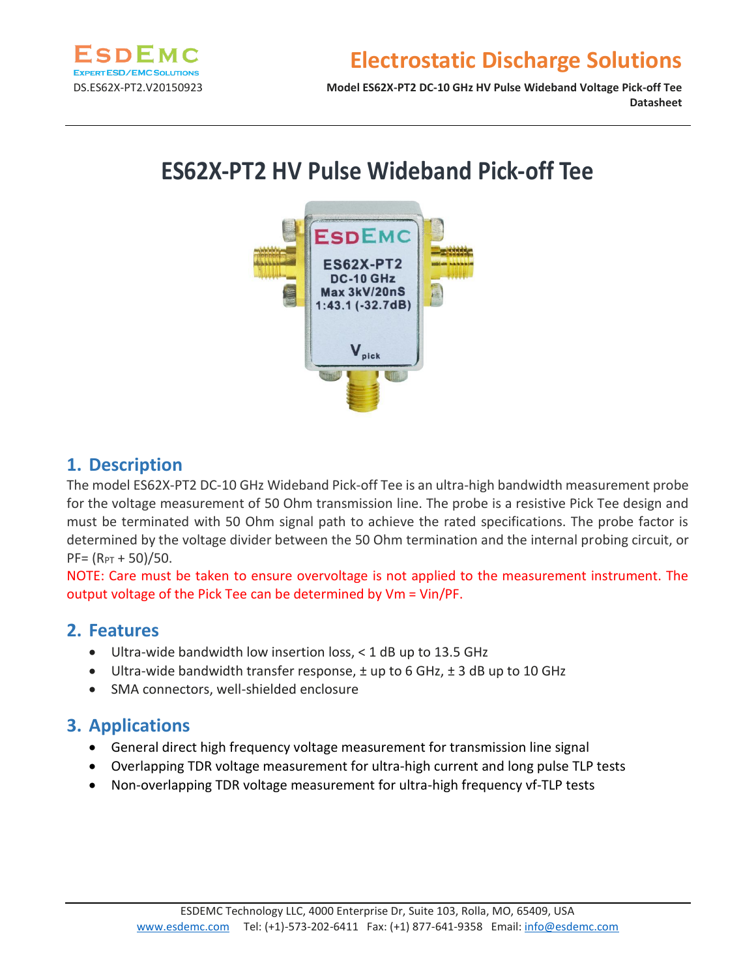

### **Electrostatic Discharge Solutions**

DS.ES62X-PT2.V20150923 **Model ES62X-PT2 DC-10 GHz HV Pulse Wideband Voltage Pick-off Tee Datasheet**

# **ES62X-PT2 HV Pulse Wideband Pick-off Tee**



#### **1. Description**

The model ES62X-PT2 DC-10 GHz Wideband Pick-off Tee is an ultra-high bandwidth measurement probe for the voltage measurement of 50 Ohm transmission line. The probe is a resistive Pick Tee design and must be terminated with 50 Ohm signal path to achieve the rated specifications. The probe factor is determined by the voltage divider between the 50 Ohm termination and the internal probing circuit, or  $PF = (R<sub>PT</sub> + 50)/50.$ 

NOTE: Care must be taken to ensure overvoltage is not applied to the measurement instrument. The output voltage of the Pick Tee can be determined by Vm = Vin/PF.

#### **2. Features**

- Ultra-wide bandwidth low insertion loss, < 1 dB up to 13.5 GHz
- Ultra-wide bandwidth transfer response,  $\pm$  up to 6 GHz,  $\pm$  3 dB up to 10 GHz
- SMA connectors, well-shielded enclosure

#### **3. Applications**

- General direct high frequency voltage measurement for transmission line signal
- Overlapping TDR voltage measurement for ultra-high current and long pulse TLP tests
- Non-overlapping TDR voltage measurement for ultra-high frequency vf-TLP tests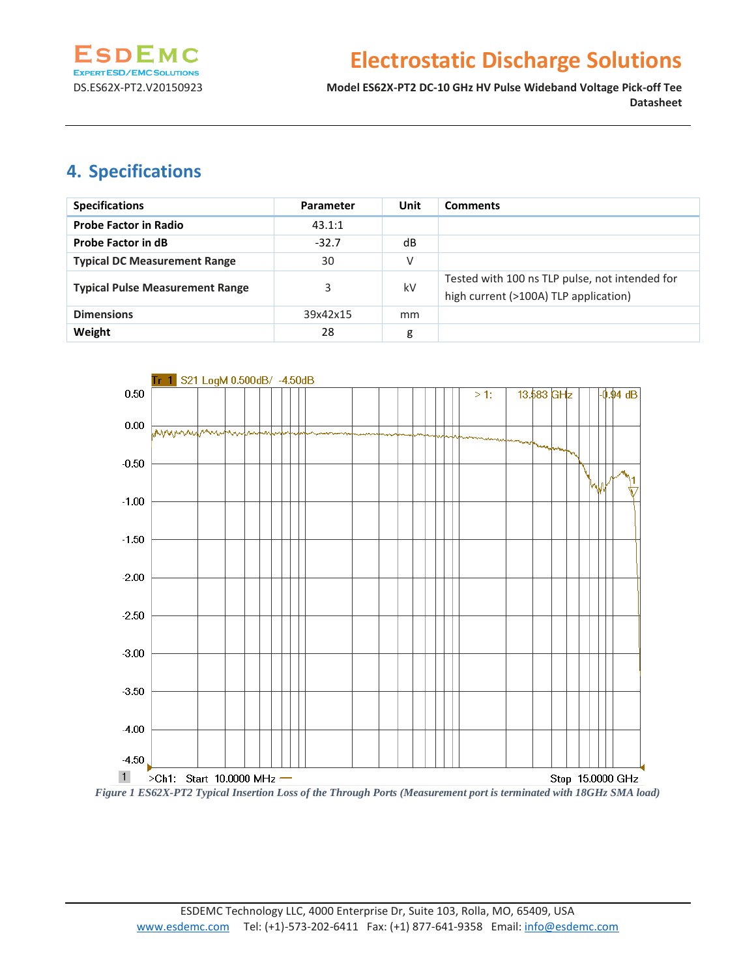

## **Electrostatic Discharge Solutions**

DS.ES62X-PT2.V20150923 **Model ES62X-PT2 DC-10 GHz HV Pulse Wideband Voltage Pick-off Tee Datasheet**

### **4. Specifications**

| <b>Specifications</b>                  | <b>Parameter</b> | Unit | <b>Comments</b>                                                                         |
|----------------------------------------|------------------|------|-----------------------------------------------------------------------------------------|
| <b>Probe Factor in Radio</b>           | 43.1:1           |      |                                                                                         |
| <b>Probe Factor in dB</b>              | $-32.7$          | dB   |                                                                                         |
| <b>Typical DC Measurement Range</b>    | 30               | ٧    |                                                                                         |
| <b>Typical Pulse Measurement Range</b> | 3                | kV   | Tested with 100 ns TLP pulse, not intended for<br>high current (>100A) TLP application) |
| <b>Dimensions</b>                      | 39x42x15         | mm   |                                                                                         |
| Weight                                 | 28               | g    |                                                                                         |



*Figure 1 ES62X-PT2 Typical Insertion Loss of the Through Ports (Measurement port is terminated with 18GHz SMA load)*